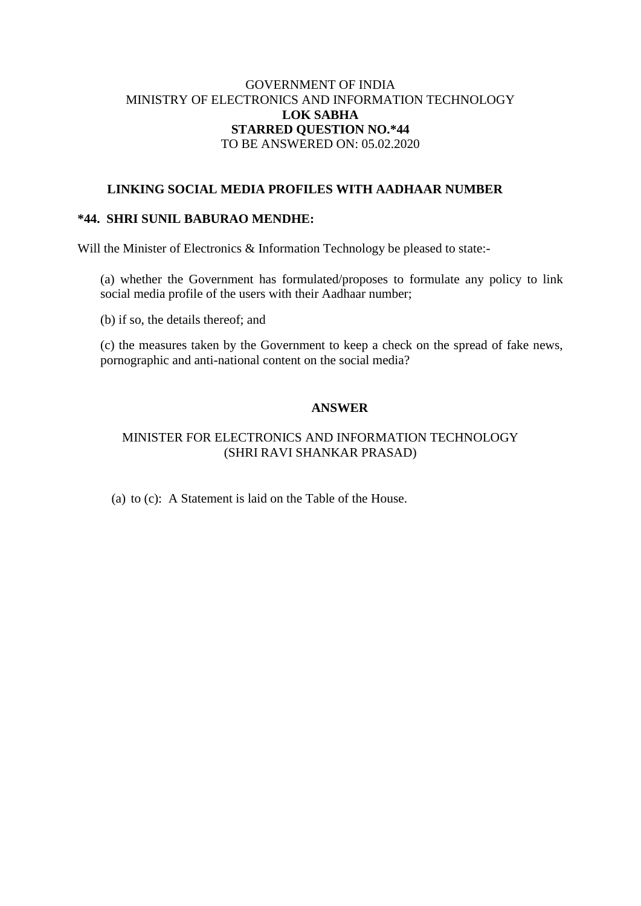# GOVERNMENT OF INDIA MINISTRY OF ELECTRONICS AND INFORMATION TECHNOLOGY **LOK SABHA STARRED QUESTION NO.\*44** TO BE ANSWERED ON: 05.02.2020

## **LINKING SOCIAL MEDIA PROFILES WITH AADHAAR NUMBER**

## **\*44. SHRI SUNIL BABURAO MENDHE:**

Will the Minister of Electronics & Information Technology be pleased to state:-

(a) whether the Government has formulated/proposes to formulate any policy to link social media profile of the users with their Aadhaar number;

(b) if so, the details thereof; and

(c) the measures taken by the Government to keep a check on the spread of fake news, pornographic and anti-national content on the social media?

## **ANSWER**

## MINISTER FOR ELECTRONICS AND INFORMATION TECHNOLOGY (SHRI RAVI SHANKAR PRASAD)

(a) to (c): A Statement is laid on the Table of the House.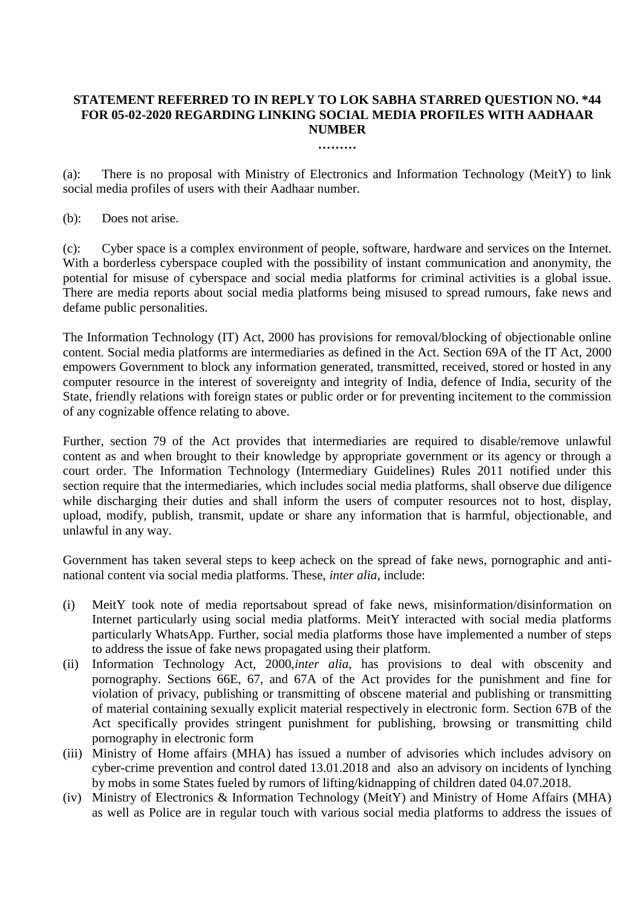# **STATEMENT REFERRED TO IN REPLY TO LOK SABHA STARRED QUESTION NO. \*44 FOR 05-02-2020 REGARDING LINKING SOCIAL MEDIA PROFILES WITH AADHAAR NUMBER**

**………**

(a): There is no proposal with Ministry of Electronics and Information Technology (MeitY) to link social media profiles of users with their Aadhaar number.

(b): Does not arise.

(c): Cyber space is a complex environment of people, software, hardware and services on the Internet. With a borderless cyberspace coupled with the possibility of instant communication and anonymity, the potential for misuse of cyberspace and social media platforms for criminal activities is a global issue. There are media reports about social media platforms being misused to spread rumours, fake news and defame public personalities.

The Information Technology (IT) Act, 2000 has provisions for removal/blocking of objectionable online content. Social media platforms are intermediaries as defined in the Act. Section 69A of the IT Act, 2000 empowers Government to block any information generated, transmitted, received, stored or hosted in any computer resource in the interest of sovereignty and integrity of India, defence of India, security of the State, friendly relations with foreign states or public order or for preventing incitement to the commission of any cognizable offence relating to above.

Further, section 79 of the Act provides that intermediaries are required to disable/remove unlawful content as and when brought to their knowledge by appropriate government or its agency or through a court order. The Information Technology (Intermediary Guidelines) Rules 2011 notified under this section require that the intermediaries, which includes social media platforms, shall observe due diligence while discharging their duties and shall inform the users of computer resources not to host, display, upload, modify, publish, transmit, update or share any information that is harmful, objectionable, and unlawful in any way.

Government has taken several steps to keep acheck on the spread of fake news, pornographic and antinational content via social media platforms. These, *inter alia*, include:

- (i) MeitY took note of media reportsabout spread of fake news, misinformation/disinformation on Internet particularly using social media platforms. MeitY interacted with social media platforms particularly WhatsApp. Further, social media platforms those have implemented a number of steps to address the issue of fake news propagated using their platform.
- (ii) Information Technology Act, 2000,*inter alia*, has provisions to deal with obscenity and pornography. Sections 66E, 67, and 67A of the Act provides for the punishment and fine for violation of privacy, publishing or transmitting of obscene material and publishing or transmitting of material containing sexually explicit material respectively in electronic form. Section 67B of the Act specifically provides stringent punishment for publishing, browsing or transmitting child pornography in electronic form
- (iii) Ministry of Home affairs (MHA) has issued a number of advisories which includes advisory on cyber-crime prevention and control dated 13.01.2018 and also an advisory on incidents of lynching by mobs in some States fueled by rumors of lifting/kidnapping of children dated 04.07.2018.
- (iv) Ministry of Electronics & Information Technology (MeitY) and Ministry of Home Affairs (MHA) as well as Police are in regular touch with various social media platforms to address the issues of